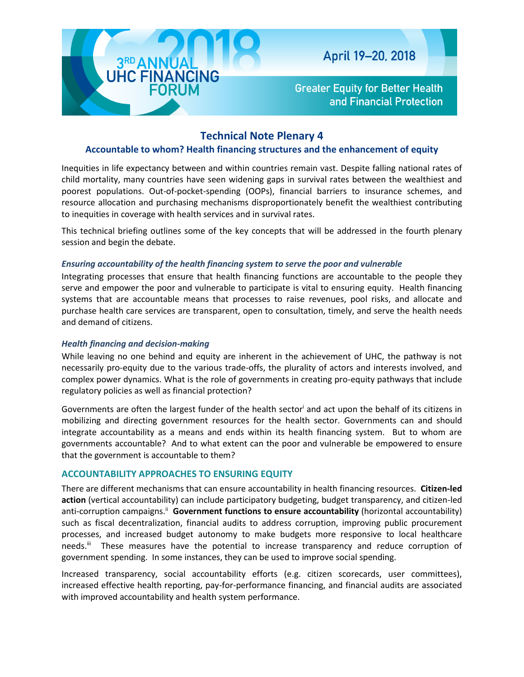

**Greater Equity for Better Health** and Financial Protection

# **Technical Note Plenary 4**

# **Accountable to whom? Health financing structures and the enhancement of equity**

Inequities in life expectancy between and within countries remain vast. Despite falling national rates of child mortality, many countries have seen widening gaps in survival rates between the wealthiest and poorest populations. Out-of-pocket-spending (OOPs), financial barriers to insurance schemes, and resource allocation and purchasing mechanisms disproportionately benefit the wealthiest contributing to inequities in coverage with health services and in survival rates.

This technical briefing outlines some of the key concepts that will be addressed in the fourth plenary session and begin the debate.

### *Ensuring accountability of the health financing system to serve the poor and vulnerable*

Integrating processes that ensure that health financing functions are accountable to the people they serve and empower the poor and vulnerable to participate is vital to ensuring equity. Health financing systems that are accountable means that processes to raise revenues, pool risks, and allocate and purchase health care services are transparent, open to consultation, timely, and serve the health needs and demand of citizens.

## *Health financing and decision-making*

While leaving no one behind and equity are inherent in the achievement of UHC, the pathway is not necessarily pro-equity due to the various trade-offs, the plurality of actors and interests involved, and complex power dynamics. What is the role of governments in creating pro-equity pathways that include regulatory policies as well as financial protection?

Governments are often the largest funder of the health sector<sup>i</sup> and act upon the behalf of its citizens in mobilizing and directing government resources for the health sector. Governments can and should integrate accountability as a means and ends within its health financing system. But to whom are governments accountable? And to what extent can the poor and vulnerable be empowered to ensure that the government is accountable to them?

# **ACCOUNTABILITY APPROACHES TO ENSURING EQUITY**

There are different mechanisms that can ensure accountability in health financing resources. **Citizen-led action** (vertical accountability) can include participatory budgeting, budget transparency, and citizen-led anti-corruption campaigns.<sup>ii</sup> Government functions to ensure accountability (horizontal accountability) such as fiscal decentralization, financial audits to address corruption, improving public procurement processes, and increased budget autonomy to make budgets more responsive to local healthcare needs.<sup>iii</sup> These measures have the potential to increase transparency and reduce corruption of government spending. In some instances, they can be used to improve social spending.

Increased transparency, social accountability efforts (e.g. citizen scorecards, user committees), increased effective health reporting, pay-for-performance financing, and financial audits are associated with improved accountability and health system performance.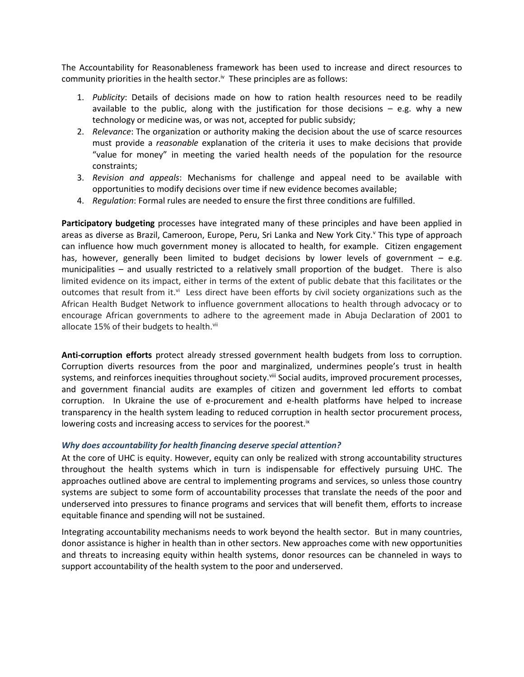The Accountability for Reasonableness framework has been used to increase and direct resources to community priorities in the health sector. $\mathbf{v}$  These principles are as follows:

- 1. *Publicity*: Details of decisions made on how to ration health resources need to be readily available to the public, along with the justification for those decisions  $-$  e.g. why a new technology or medicine was, or was not, accepted for public subsidy;
- 2. *Relevance*: The organization or authority making the decision about the use of scarce resources must provide a *reasonable* explanation of the criteria it uses to make decisions that provide "value for money" in meeting the varied health needs of the population for the resource constraints;
- 3. *Revision and appeals*: Mechanisms for challenge and appeal need to be available with opportunities to modify decisions over time if new evidence becomes available;
- 4. *Regulation*: Formal rules are needed to ensure the first three conditions are fulfilled.

**Participatory budgeting** processes have integrated many of these principles and have been applied in areas as diverse as Brazil, Cameroon, Europe, Peru, Sri Lanka and New York City.<sup>y</sup> This type of approach can influence how much government money is allocated to health, for example. Citizen engagement has, however, generally been limited to budget decisions by lower levels of government  $-$  e.g. municipalities – and usually restricted to a relatively small proportion of the budget. There is also limited evidence on its impact, either in terms of the extent of public debate that this facilitates or the outcomes that result from it.<sup>vi</sup> Less direct have been efforts by civil society organizations such as the African Health Budget Network to influence government allocations to health through advocacy or to encourage African governments to adhere to the agreement made in Abuja Declaration of 2001 to allocate 15% of their budgets to health.<sup>vii</sup>

**Anti-corruption efforts** protect already stressed government health budgets from loss to corruption. Corruption diverts resources from the poor and marginalized, undermines people's trust in health systems, and reinforces inequities throughout society.<sup>viii</sup> Social audits, improved procurement processes, and government financial audits are examples of citizen and government led efforts to combat corruption. In Ukraine the use of e-procurement and e-health platforms have helped to increase transparency in the health system leading to reduced corruption in health sector procurement process, lowering costs and increasing access to services for the poorest.<sup>ix</sup>

#### *Why does accountability for health financing deserve special attention?*

At the core of UHC is equity. However, equity can only be realized with strong accountability structures throughout the health systems which in turn is indispensable for effectively pursuing UHC. The approaches outlined above are central to implementing programs and services, so unless those country systems are subject to some form of accountability processes that translate the needs of the poor and underserved into pressures to finance programs and services that will benefit them, efforts to increase equitable finance and spending will not be sustained.

Integrating accountability mechanisms needs to work beyond the health sector. But in many countries, donor assistance is higher in health than in other sectors. New approaches come with new opportunities and threats to increasing equity within health systems, donor resources can be channeled in ways to support accountability of the health system to the poor and underserved.